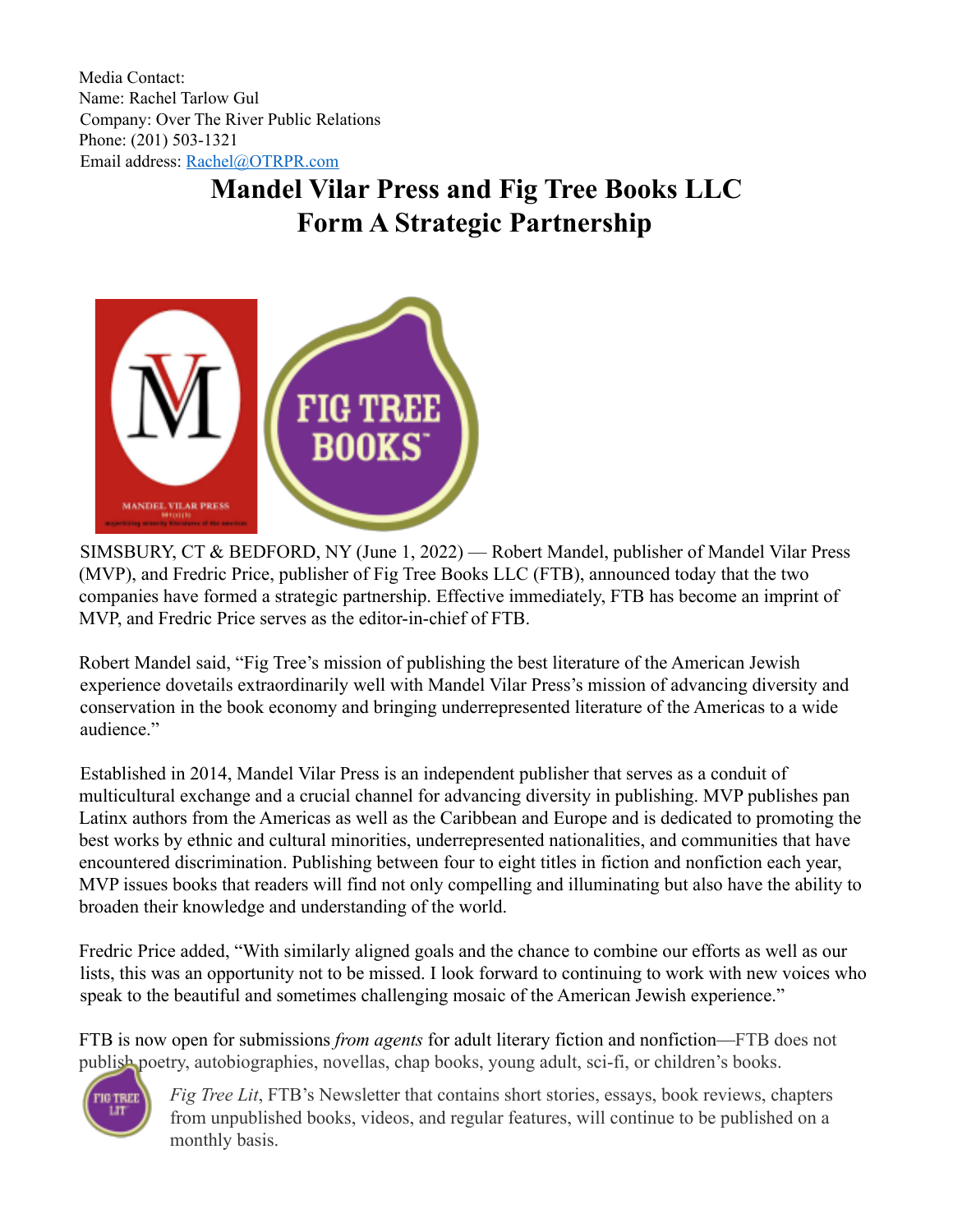Media Contact: Name: Rachel Tarlow Gul Company: Over The River Public Relations Phone: (201) 503-1321 Email address: Rachel@OTRPR.com

## **Mandel Vilar Press and Fig Tree Books LLC Form A Strategic Partnership**



SIMSBURY, CT & BEDFORD, NY (June 1, 2022) — Robert Mandel, publisher of Mandel Vilar Press (MVP), and Fredric Price, publisher of Fig Tree Books LLC (FTB), announced today that the two companies have formed a strategic partnership. Effective immediately, FTB has become an imprint of MVP, and Fredric Price serves as the editor-in-chief of FTB.

Robert Mandel said, "Fig Tree's mission of publishing the best literature of the American Jewish experience dovetails extraordinarily well with Mandel Vilar Press's mission of advancing diversity and conservation in the book economy and bringing underrepresented literature of the Americas to a wide audience."

Established in 2014, Mandel Vilar Press is an independent publisher that serves as a conduit of multicultural exchange and a crucial channel for advancing diversity in publishing. MVP publishes pan Latinx authors from the Americas as well as the Caribbean and Europe and is dedicated to promoting the best works by ethnic and cultural minorities, underrepresented nationalities, and communities that have encountered discrimination. Publishing between four to eight titles in fiction and nonfiction each year, MVP issues books that readers will find not only compelling and illuminating but also have the ability to broaden their knowledge and understanding of the world.

Fredric Price added, "With similarly aligned goals and the chance to combine our efforts as well as our lists, this was an opportunity not to be missed. I look forward to continuing to work with new voices who speak to the beautiful and sometimes challenging mosaic of the American Jewish experience."

FTB is now open for submissions *from agents* for adult literary fiction and nonfiction—FTB does not publish poetry, autobiographies, novellas, chap books, young adult, sci-fi, or children's books.



*Fig Tree Lit*, FTB's Newsletter that contains short stories, essays, book reviews, chapters from unpublished books, videos, and regular features, will continue to be published on a monthly basis.